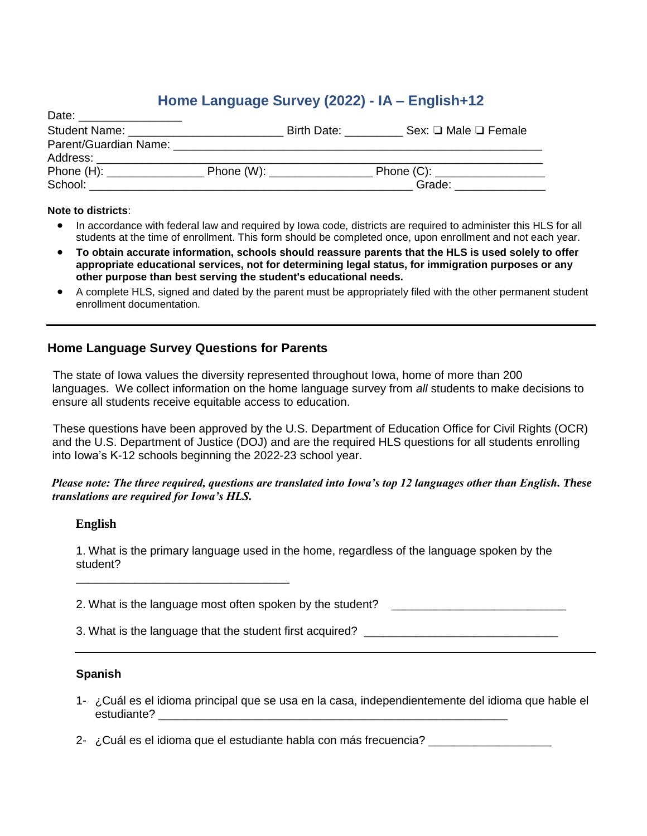# **Home Language Survey (2022) - IA – English+12**

| Date:                            |                         |             |                                |
|----------------------------------|-------------------------|-------------|--------------------------------|
| Student Name: __________________ |                         | Birth Date: | Sex: $\Box$ Male $\Box$ Female |
| Parent/Guardian Name: __________ |                         |             |                                |
| Address:                         |                         |             |                                |
| Phone $(H)$ :                    | Phone (W): ____________ |             |                                |
| School:                          |                         |             | Grade:                         |

#### **Note to districts**:

- In accordance with federal law and required by Iowa code, districts are required to administer this HLS for all students at the time of enrollment. This form should be completed once, upon enrollment and not each year.
- **To obtain accurate information, schools should reassure parents that the HLS is used solely to offer appropriate educational services, not for determining legal status, for immigration purposes or any other purpose than best serving the student's educational needs.**
- A complete HLS, signed and dated by the parent must be appropriately filed with the other permanent student enrollment documentation.

### **Home Language Survey Questions for Parents**

\_\_\_\_\_\_\_\_\_\_\_\_\_\_\_\_\_\_\_\_\_\_\_\_\_\_\_\_\_\_\_\_\_

The state of Iowa values the diversity represented throughout Iowa, home of more than 200 languages. We collect information on the home language survey from *all* students to make decisions to ensure all students receive equitable access to education.

These questions have been approved by the U.S. Department of Education Office for Civil Rights (OCR) and the U.S. Department of Justice (DOJ) and are the required HLS questions for all students enrolling into Iowa's K-12 schools beginning the 2022-23 school year.

#### *Please note: The three required, questions are translated into Iowa's top 12 languages other than English. These translations are required for Iowa's HLS.*

#### **English**

1. What is the primary language used in the home, regardless of the language spoken by the student?

2. What is the language most often spoken by the student?

3. What is the language that the student first acquired? \_\_\_\_\_\_\_\_\_\_\_\_\_\_\_\_\_\_\_\_\_\_\_\_

### **Spanish**

- 1- ¿Cuál es el idioma principal que se usa en la casa, independientemente del idioma que hable el estudiante?
- 2- *i* Cuál es el idioma que el estudiante habla con más frecuencia?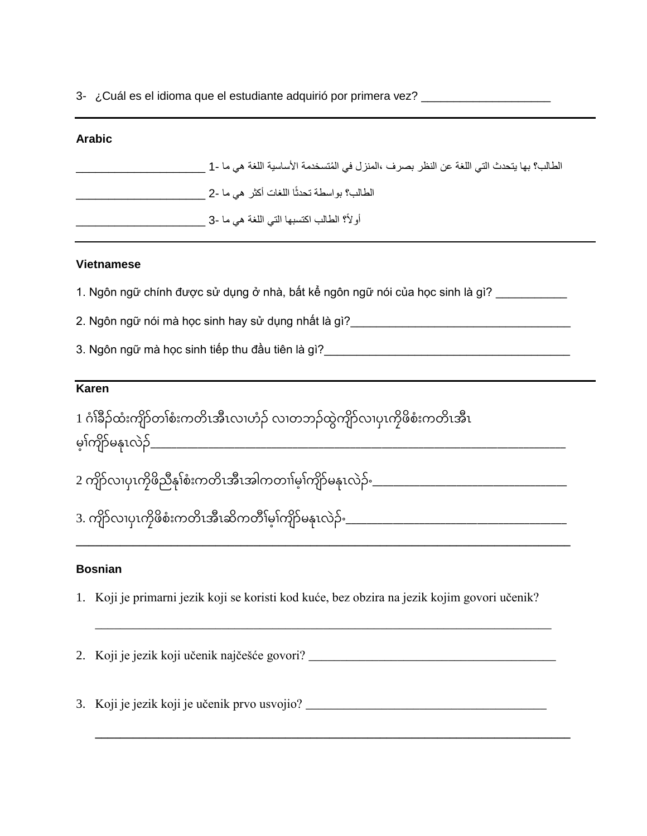3- ¿Cuál es el idioma que el estudiante adquirió por primera vez? \_\_\_\_\_\_\_\_\_\_\_\_\_\_\_

# **Arabic**

| الطالب؟ بها يتحدث التي اللغة عن النظر بصرف ،المنزل في المُتسخدمة الأساسية اللغة هي ما -1 |
|------------------------------------------------------------------------------------------|
| الطالب؟ بواسطة تحدثًا اللغات أكثر  هي ما -2                                              |
| أولاً؟ الطالب اكتسبها التي اللغة هي ما -3 إ                                              |

# **Vietnamese**

1. Ngôn ngữ chính được sử dụng ở nhà, bất kể ngôn ngữ nói của học sinh là gì?

2. Ngôn ngữ nói mà học sinh hay sử dụng nhất là gì?\_\_\_\_\_\_\_\_\_\_\_\_\_\_\_\_\_\_\_\_\_\_\_\_\_\_\_\_\_\_\_\_\_\_

3. Ngôn ngữ mà học sinh tiếp thu đầu tiên là gì?

# **Karen**

1 ဂ ၢ ံၢ်ခ ံၢ်ထ ံးက ံၢ်တၢ ံၢ်စ ံးကတ ိၤအ ိၤလၢဟ ံၢ်လၢတဘ ံၢ်ထ ွဲက ံၢ်လၢပ ိၤက ဖ စ ံးကတ ိၤအ ိၤ မ ၢ ံၢ်က ံၢ်မန ိၤလွဲ ံၢ်\_\_\_\_\_\_\_\_\_\_\_\_\_\_\_\_\_\_\_\_\_\_\_\_\_\_\_\_\_\_\_\_\_\_\_\_\_\_\_\_\_\_\_\_\_\_\_\_\_\_\_\_\_\_\_\_\_\_\_\_\_\_\_\_\_\_\_\_\_\_\_\_\_\_\_\_\_\_\_

2 က ံၢ်လၢပ ိၤက ဖ ည န ၢ ံၢ်စ ံးကတ ိၤအ ိၤအါကတၢၢ ံၢ်မ ၢ ံၢ်က ံၢ်မန ိၤလွဲ ံၢ်ဲၣ်ႋ\_\_\_\_\_\_\_\_\_\_\_\_\_\_\_\_\_\_\_\_\_\_\_\_\_\_\_\_\_\_\_\_\_\_\_\_\_

3. က ံၢ်လၢပ ိၤက ဖ စ ံးကတ ိၤအ ိၤဆ ကတ ၢ ံၢ်မ ၢ ံၢ်က ံၢ်မန ိၤလွဲ ံၢ်ဲၣ်ႋ\_\_\_\_\_\_\_\_\_\_\_\_\_\_\_\_\_\_\_\_\_\_\_\_\_\_\_\_\_\_\_\_\_\_\_\_\_\_\_\_\_\_

# **Bosnian**

1. Koji je primarni jezik koji se koristi kod kuće, bez obzira na jezik kojim govori učenik?

**\_\_\_\_\_\_\_\_\_\_\_\_\_\_\_\_\_\_\_\_\_\_\_\_\_\_\_\_\_\_\_\_\_\_\_\_\_\_\_\_\_\_\_\_\_\_\_\_\_\_\_\_\_\_\_\_\_\_\_\_\_\_\_\_\_\_\_\_\_\_\_\_\_\_\_\_\_\_**

\_\_\_\_\_\_\_\_\_\_\_\_\_\_\_\_\_\_\_\_\_\_\_\_\_\_\_\_\_\_\_\_\_\_\_\_\_\_\_\_\_\_\_\_\_\_\_\_\_\_\_\_\_\_\_\_\_\_\_\_\_\_\_\_\_\_\_\_\_\_\_\_

**\_\_\_\_\_\_\_\_\_\_\_\_\_\_\_\_\_\_\_\_\_\_\_\_\_\_\_\_\_\_\_\_\_\_\_\_\_\_\_\_\_\_\_\_\_\_\_\_\_\_\_\_\_\_\_\_\_\_\_\_\_\_\_\_\_\_\_\_\_\_\_\_\_\_\_**

2. Koji je jezik koji učenik najčešće govori? \_\_\_\_\_\_\_\_\_\_\_\_\_\_\_\_\_\_\_\_\_\_\_\_\_\_\_\_\_\_\_\_\_\_\_\_\_\_\_

3. Koji je jezik koji je učenik prvo usvojio? \_\_\_\_\_\_\_\_\_\_\_\_\_\_\_\_\_\_\_\_\_\_\_\_\_\_\_\_\_\_\_\_\_\_\_\_\_\_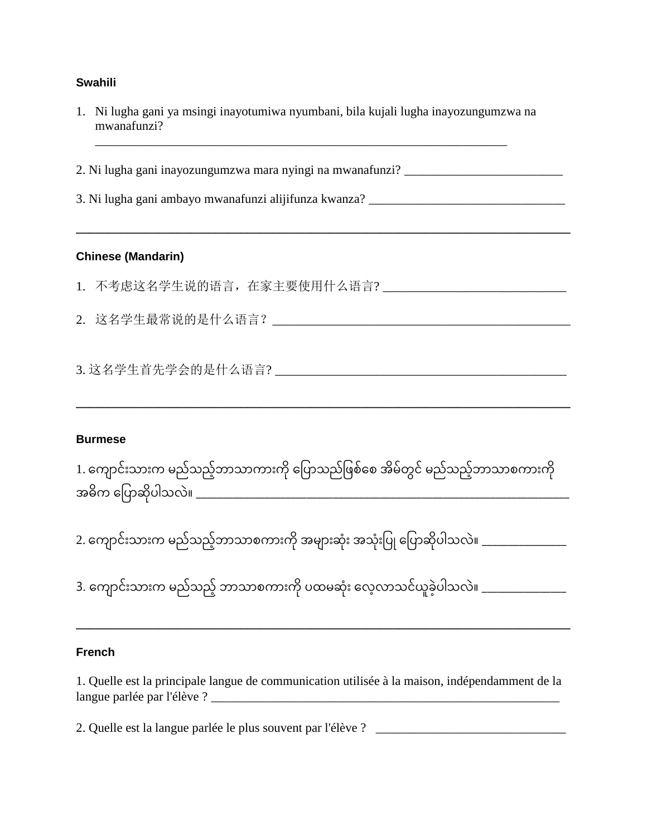### **Swahili**

1. Ni lugha gani ya msingi inayotumiwa nyumbani, bila kujali lugha inayozungumzwa na mwanafunzi?

**\_\_\_\_\_\_\_\_\_\_\_\_\_\_\_\_\_\_\_\_\_\_\_\_\_\_\_\_\_\_\_\_\_\_\_\_\_\_\_\_\_\_\_\_\_\_\_\_\_\_\_\_\_\_\_\_\_\_\_\_\_\_\_\_\_\_\_\_\_\_\_\_\_\_\_\_\_\_**

\_\_\_\_\_\_\_\_\_\_\_\_\_\_\_\_\_\_\_\_\_\_\_\_\_\_\_\_\_\_\_\_\_\_\_\_\_\_\_\_\_\_\_\_\_\_\_\_\_\_\_\_\_\_\_\_\_\_\_\_\_\_\_\_\_

2. Ni lugha gani inayozungumzwa mara nyingi na mwanafunzi? \_\_\_\_\_\_\_\_\_\_\_\_\_\_\_\_\_\_\_\_\_\_

3. Ni lugha gani ambayo mwanafunzi alijifunza kwanza? \_\_\_\_\_\_\_\_\_\_\_\_\_\_\_\_\_\_\_\_\_\_\_\_\_\_\_

### **Chinese (Mandarin)**

- 1. 不考虑这名学生说的语言,在家主要使用什么语言?
- 2. 这名学生最常说的是什么语言?

3. 这名学生首先学会的是什么语言? \_\_\_\_\_\_\_\_\_\_\_\_\_\_\_\_\_\_\_\_\_\_\_\_\_\_\_\_\_\_\_\_\_\_\_\_\_\_\_\_\_\_\_\_\_\_

### **Burmese**

1. ကျောင်းသားက မည်သည့်ဘာသာကားကို ပြောသည်ဖြစ်စေ အိမ်တွင် မည်သည့်ဘာသာစကားကို အဓ က ကဖပ ဆ ပါသလွဲ။ \_\_\_\_\_\_\_\_\_\_\_\_\_\_\_\_\_\_\_\_\_\_\_\_\_\_\_\_\_\_\_\_\_\_\_\_\_\_\_\_\_\_\_\_\_\_\_\_\_\_\_\_\_\_\_\_\_\_\_\_\_\_\_\_\_\_\_\_\_\_\_

**\_\_\_\_\_\_\_\_\_\_\_\_\_\_\_\_\_\_\_\_\_\_\_\_\_\_\_\_\_\_\_\_\_\_\_\_\_\_\_\_\_\_\_\_\_\_\_\_\_\_\_\_\_\_\_\_\_\_\_\_\_\_\_\_\_\_\_\_\_\_\_\_\_\_\_\_\_\_**

2. ကျောင်းသားက မည်သည့်ဘာသာစကားကို အများဆုံး အသုံးပြု ပြောဆိုပါသလဲ။ \_\_\_\_\_\_\_\_\_\_\_\_\_\_

3. ကျောင်းသားက မည်သည့် ဘာသာစကားကို ပထမဆုံး လေ့လာသင်ယူခဲ့ပါသလဲ။ \_\_\_\_\_\_\_\_\_\_\_\_\_\_

#### **French**

1. Quelle est la principale langue de communication utilisée à la maison, indépendamment de la langue parlée par l'élève ? \_\_\_\_\_\_\_\_\_\_\_\_\_\_\_\_\_\_\_\_\_\_\_\_\_\_\_\_\_\_\_\_\_\_\_\_\_\_\_\_\_\_\_\_\_\_\_\_\_\_\_\_\_\_\_

**\_\_\_\_\_\_\_\_\_\_\_\_\_\_\_\_\_\_\_\_\_\_\_\_\_\_\_\_\_\_\_\_\_\_\_\_\_\_\_\_\_\_\_\_\_\_\_\_\_\_\_\_\_\_\_\_\_\_\_\_\_\_\_\_\_\_\_\_\_\_\_\_\_\_\_\_\_\_**

2. Quelle est la langue parlée le plus souvent par l'élève ? \_\_\_\_\_\_\_\_\_\_\_\_\_\_\_\_\_\_\_\_\_\_\_\_\_\_\_\_\_\_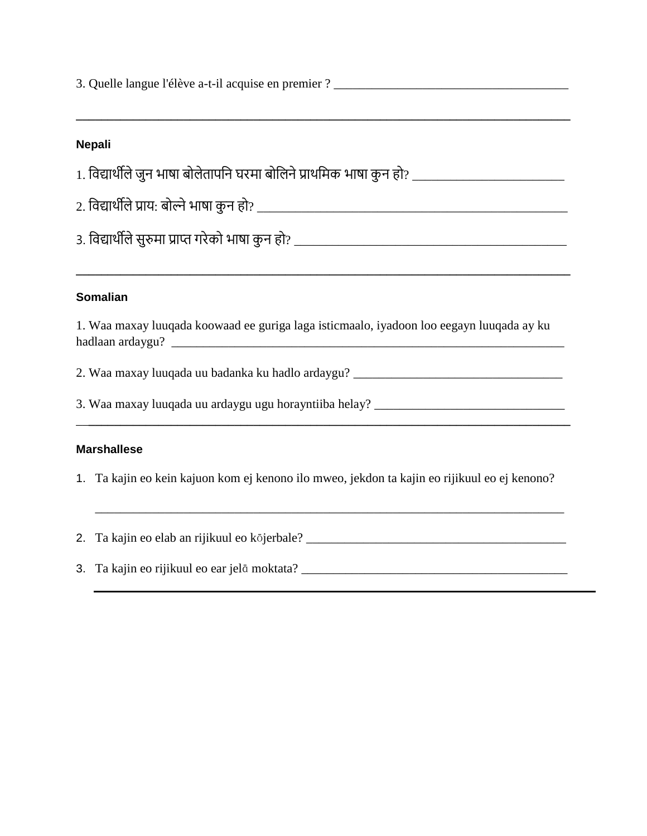| 3. Quelle langue l'élève a-t-il acquise en premier ? ____________________________        |                                                                                                     |  |  |
|------------------------------------------------------------------------------------------|-----------------------------------------------------------------------------------------------------|--|--|
|                                                                                          |                                                                                                     |  |  |
|                                                                                          | <b>Nepali</b>                                                                                       |  |  |
|                                                                                          | 1. विद्यार्थीले जुन भाषा बोलेतापनि घरमा बोलिने प्राथमिक भाषा कुन हो? ______________________________ |  |  |
|                                                                                          |                                                                                                     |  |  |
|                                                                                          |                                                                                                     |  |  |
|                                                                                          |                                                                                                     |  |  |
|                                                                                          | <b>Somalian</b>                                                                                     |  |  |
| 1. Waa maxay luuqada koowaad ee guriga laga isticmaalo, iyadoon loo eegayn luuqada ay ku |                                                                                                     |  |  |
|                                                                                          |                                                                                                     |  |  |
| 3. Waa maxay luuqada uu ardaygu ugu horayntiiba helay? __________________________        |                                                                                                     |  |  |
|                                                                                          | <b>Marshallese</b>                                                                                  |  |  |
|                                                                                          | 1. Ta kajin eo kein kajuon kom ej kenono ilo mweo, jekdon ta kajin eo rijikuul eo ej kenono?        |  |  |
|                                                                                          | 2. Ta kajin eo elab an rijikuul eo kōjerbale? __________________________________                    |  |  |
|                                                                                          |                                                                                                     |  |  |

 $\overline{a}$